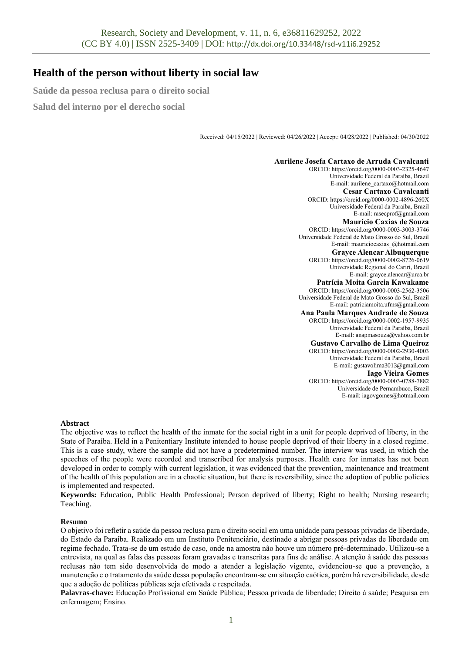# **Health of the person without liberty in social law**

**Saúde da pessoa reclusa para o direito social**

**Salud del interno por el derecho social**

Received: 04/15/2022 | Reviewed: 04/26/2022 | Accept: 04/28/2022 | Published: 04/30/2022

## **Aurilene Josefa Cartaxo de Arruda Cavalcanti**

ORCID: https://orcid.org/0000-0003-2325-4647 Universidade Federal da Paraíba, Brazil E-mail: aurilene\_cartaxo@hotmail.com **Cesar Cartaxo Cavalcanti** ORCID: https://orcid.org/0000-0002-4896-260X Universidade Federal da Paraíba, Brazil E-mail: rasecprof@gmail.com **Maurício Caxias de Souza** ORCID: https://orcid.org/0000-0003-3003-3746 Universidade Federal de Mato Grosso do Sul, Brazil E-mail: mauriciocaxias\_@hotmail.com **Grayce Alencar Albuquerque** ORCID: https://orcid.org/0000-0002-8726-0619 Universidade Regional do Cariri, Brazil E-mail: grayce.alencar@urca.br **Patrícia Moita Garcia Kawakame** ORCID: https://orcid.org/0000-0003-2562-3506 Universidade Federal de Mato Grosso do Sul, Brazil E-mail: patriciamoita.ufms@gmail.com **Ana Paula Marques Andrade de Souza** ORCID: https://orcid.org/0000-0002-1957-9935 Universidade Federal da Paraíba, Brazil E-mail: anapmasouza@yahoo.com.br **Gustavo Carvalho de Lima Queiroz** ORCID: https://orcid.org/0000-0002-2930-4003 Universidade Federal da Paraíba, Brazil E-mail: gustavolima3013@gmail.com **Iago Vieira Gomes** ORCID: https://orcid.org/0000-0003-0788-7882 Universidade de Pernambuco, Brazil E-mail: iagovgomes@hotmail.com

### **Abstract**

The objective was to reflect the health of the inmate for the social right in a unit for people deprived of liberty, in the State of Paraíba. Held in a Penitentiary Institute intended to house people deprived of their liberty in a closed regime. This is a case study, where the sample did not have a predetermined number. The interview was used, in which the speeches of the people were recorded and transcribed for analysis purposes. Health care for inmates has not been developed in order to comply with current legislation, it was evidenced that the prevention, maintenance and treatment of the health of this population are in a chaotic situation, but there is reversibility, since the adoption of public policies is implemented and respected.

**Keywords:** Education, Public Health Professional; Person deprived of liberty; Right to health; Nursing research; Teaching.

### **Resumo**

O objetivo foi refletir a saúde da pessoa reclusa para o direito social em uma unidade para pessoas privadas de liberdade, do Estado da Paraíba. Realizado em um Instituto Penitenciário, destinado a abrigar pessoas privadas de liberdade em regime fechado. Trata-se de um estudo de caso, onde na amostra não houve um número pré-determinado. Utilizou-se a entrevista, na qual as falas das pessoas foram gravadas e transcritas para fins de análise. A atenção à saúde das pessoas reclusas não tem sido desenvolvida de modo a atender a legislação vigente, evidenciou-se que a prevenção, a manutenção e o tratamento da saúde dessa população encontram-se em situação caótica, porém há reversibilidade, desde que a adoção de políticas públicas seja efetivada e respeitada.

**Palavras-chave:** Educação Profissional em Saúde Pública; Pessoa privada de liberdade; Direito à saúde; Pesquisa em enfermagem; Ensino.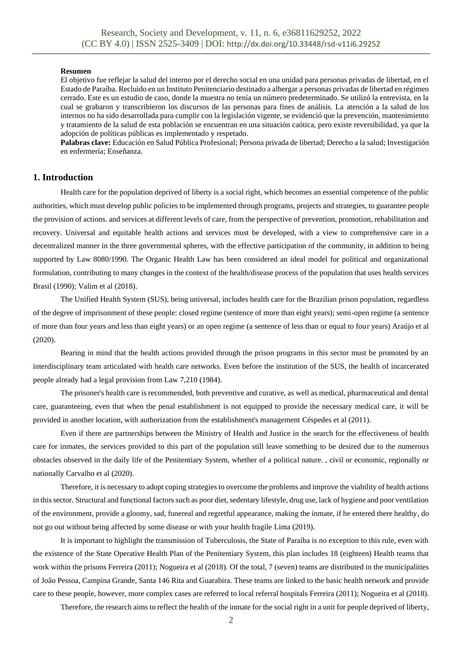#### **Resumen**

El objetivo fue reflejar la salud del interno por el derecho social en una unidad para personas privadas de libertad, en el Estado de Paraíba. Recluido en un Instituto Penitenciario destinado a albergar a personas privadas de libertad en régimen cerrado. Este es un estudio de caso, donde la muestra no tenía un número predeterminado. Se utilizó la entrevista, en la cual se grabaron y transcribieron los discursos de las personas para fines de análisis. La atención a la salud de los internos no ha sido desarrollada para cumplir con la legislación vigente, se evidenció que la prevención, mantenimiento y tratamiento de la salud de esta población se encuentran en una situación caótica, pero existe reversibilidad, ya que la adopción de políticas públicas es implementado y respetado.

**Palabras clave:** Educación en Salud Pública Profesional; Persona privada de libertad; Derecho a la salud; Investigación en enfermería; Enseñanza.

# **1. Introduction**

Health care for the population deprived of liberty is a social right, which becomes an essential competence of the public authorities, which must develop public policies to be implemented through programs, projects and strategies, to guarantee people the provision of actions. and services at different levels of care, from the perspective of prevention, promotion, rehabilitation and recovery. Universal and equitable health actions and services must be developed, with a view to comprehensive care in a decentralized manner in the three governmental spheres, with the effective participation of the community, in addition to being supported by Law 8080/1990. The Organic Health Law has been considered an ideal model for political and organizational formulation, contributing to many changes in the context of the health/disease process of the population that uses health services Brasil (1990); Valim et al (2018).

The Unified Health System (SUS), being universal, includes health care for the Brazilian prison population, regardless of the degree of imprisonment of these people: closed regime (sentence of more than eight years); semi-open regime (a sentence of more than four years and less than eight years) or an open regime (a sentence of less than or equal to four years) Araújo et al (2020).

Bearing in mind that the health actions provided through the prison programs in this sector must be promoted by an interdisciplinary team articulated with health care networks. Even before the institution of the SUS, the health of incarcerated people already had a legal provision from Law 7,210 (1984).

The prisoner's health care is recommended, both preventive and curative, as well as medical, pharmaceutical and dental care, guaranteeing, even that when the penal establishment is not equipped to provide the necessary medical care, it will be provided in another location, with authorization from the establishment's management Céspedes et al (2011).

Even if there are partnerships between the Ministry of Health and Justice in the search for the effectiveness of health care for inmates, the services provided to this part of the population still leave something to be desired due to the numerous obstacles observed in the daily life of the Penitentiary System, whether of a political nature. , civil or economic, regionally or nationally Carvalho et al (2020).

Therefore, it is necessary to adopt coping strategies to overcome the problems and improve the viability of health actions in this sector. Structural and functional factors such as poor diet, sedentary lifestyle, drug use, lack of hygiene and poor ventilation of the environment, provide a gloomy, sad, funereal and regretful appearance, making the inmate, if he entered there healthy, do not go out without being affected by some disease or with your health fragile Lima (2019).

It is important to highlight the transmission of Tuberculosis, the State of Paraíba is no exception to this rule, even with the existence of the State Operative Health Plan of the Penitentiary System, this plan includes 18 (eighteen) Health teams that work within the prisons Ferreira (2011); Nogueira et al (2018). Of the total, 7 (seven) teams are distributed in the municipalities of João Pessoa, Campina Grande, Santa 146 Rita and Guarabira. These teams are linked to the basic health network and provide care to these people, however, more complex cases are referred to local referral hospitals Ferreira (2011); Nogueira et al (2018).

Therefore, the research aims to reflect the health of the inmate for the social right in a unit for people deprived of liberty,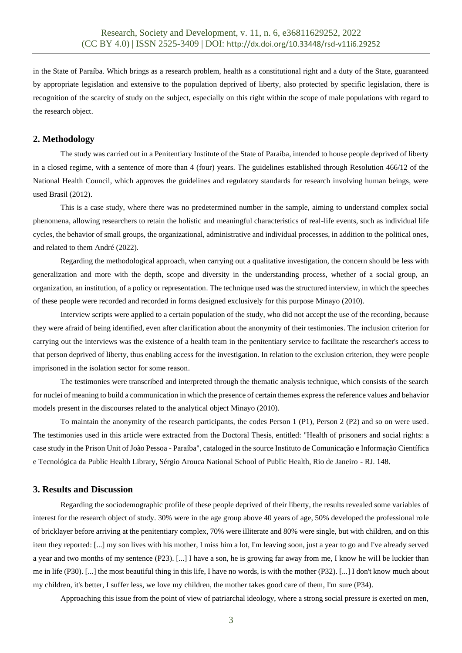in the State of Paraíba. Which brings as a research problem, health as a constitutional right and a duty of the State, guaranteed by appropriate legislation and extensive to the population deprived of liberty, also protected by specific legislation, there is recognition of the scarcity of study on the subject, especially on this right within the scope of male populations with regard to the research object.

# **2. Methodology**

The study was carried out in a Penitentiary Institute of the State of Paraíba, intended to house people deprived of liberty in a closed regime, with a sentence of more than 4 (four) years. The guidelines established through Resolution 466/12 of the National Health Council, which approves the guidelines and regulatory standards for research involving human beings, were used Brasil (2012).

This is a case study, where there was no predetermined number in the sample, aiming to understand complex social phenomena, allowing researchers to retain the holistic and meaningful characteristics of real-life events, such as individual life cycles, the behavior of small groups, the organizational, administrative and individual processes, in addition to the political ones, and related to them André (2022).

Regarding the methodological approach, when carrying out a qualitative investigation, the concern should be less with generalization and more with the depth, scope and diversity in the understanding process, whether of a social group, an organization, an institution, of a policy or representation. The technique used was the structured interview, in which the speeches of these people were recorded and recorded in forms designed exclusively for this purpose Minayo (2010).

Interview scripts were applied to a certain population of the study, who did not accept the use of the recording, because they were afraid of being identified, even after clarification about the anonymity of their testimonies. The inclusion criterion for carrying out the interviews was the existence of a health team in the penitentiary service to facilitate the researcher's access to that person deprived of liberty, thus enabling access for the investigation. In relation to the exclusion criterion, they were people imprisoned in the isolation sector for some reason.

The testimonies were transcribed and interpreted through the thematic analysis technique, which consists of the search for nuclei of meaning to build a communication in which the presence of certain themes express the reference values and behavior models present in the discourses related to the analytical object Minayo (2010).

To maintain the anonymity of the research participants, the codes Person 1 (P1), Person 2 (P2) and so on were used. The testimonies used in this article were extracted from the Doctoral Thesis, entitled: "Health of prisoners and social rights: a case study in the Prison Unit of João Pessoa - Paraíba", cataloged in the source Instituto de Comunicação e Informação Científica e Tecnológica da Public Health Library, Sérgio Arouca National School of Public Health, Rio de Janeiro - RJ. 148.

# **3. Results and Discussion**

Regarding the sociodemographic profile of these people deprived of their liberty, the results revealed some variables of interest for the research object of study. 30% were in the age group above 40 years of age, 50% developed the professional role of bricklayer before arriving at the penitentiary complex, 70% were illiterate and 80% were single, but with children, and on this item they reported: [...] my son lives with his mother, I miss him a lot, I'm leaving soon, just a year to go and I've already served a year and two months of my sentence (P23). [...] I have a son, he is growing far away from me, I know he will be luckier than me in life (P30). [...] the most beautiful thing in this life, I have no words, is with the mother (P32). [...] I don't know much about my children, it's better, I suffer less, we love my children, the mother takes good care of them, I'm sure (P34).

Approaching this issue from the point of view of patriarchal ideology, where a strong social pressure is exerted on men,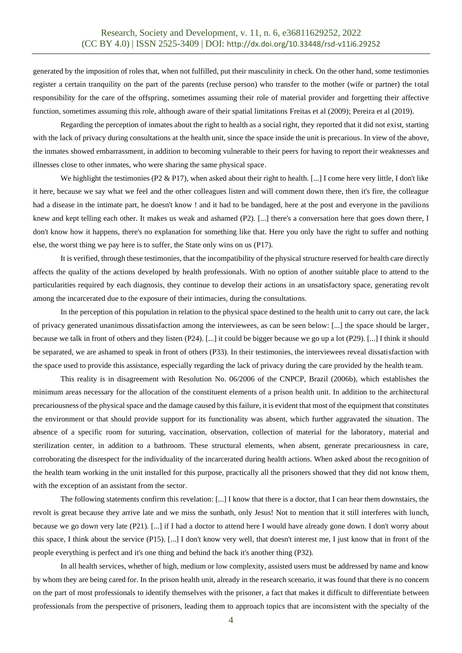generated by the imposition of roles that, when not fulfilled, put their masculinity in check. On the other hand, some testimonies register a certain tranquility on the part of the parents (recluse person) who transfer to the mother (wife or partner) the total responsibility for the care of the offspring, sometimes assuming their role of material provider and forgetting their affective function, sometimes assuming this role, although aware of their spatial limitations Freitas et al (2009); Pereira et al (2019).

Regarding the perception of inmates about the right to health as a social right, they reported that it did not exist, starting with the lack of privacy during consultations at the health unit, since the space inside the unit is precarious. In view of the above, the inmates showed embarrassment, in addition to becoming vulnerable to their peers for having to report their weaknesses and illnesses close to other inmates, who were sharing the same physical space.

We highlight the testimonies (P2 & P17), when asked about their right to health. [...] I come here very little, I don't like it here, because we say what we feel and the other colleagues listen and will comment down there, then it's fire, the colleague had a disease in the intimate part, he doesn't know ! and it had to be bandaged, here at the post and everyone in the pavilions knew and kept telling each other. It makes us weak and ashamed (P2). [...] there's a conversation here that goes down there, I don't know how it happens, there's no explanation for something like that. Here you only have the right to suffer and nothing else, the worst thing we pay here is to suffer, the State only wins on us (P17).

It is verified, through these testimonies, that the incompatibility of the physical structure reserved for health care directly affects the quality of the actions developed by health professionals. With no option of another suitable place to attend to the particularities required by each diagnosis, they continue to develop their actions in an unsatisfactory space, generating revolt among the incarcerated due to the exposure of their intimacies, during the consultations.

In the perception of this population in relation to the physical space destined to the health unit to carry out care, the lack of privacy generated unanimous dissatisfaction among the interviewees, as can be seen below: [...] the space should be larger, because we talk in front of others and they listen (P24). [...] it could be bigger because we go up a lot (P29). [...] I think it should be separated, we are ashamed to speak in front of others (P33). In their testimonies, the interviewees reveal dissatisfaction with the space used to provide this assistance, especially regarding the lack of privacy during the care provided by the health team.

This reality is in disagreement with Resolution No. 06/2006 of the CNPCP, Brazil (2006b), which establishes the minimum areas necessary for the allocation of the constituent elements of a prison health unit. In addition to the architectural precariousness of the physical space and the damage caused by this failure, it is evident that most of the equipment that constitutes the environment or that should provide support for its functionality was absent, which further aggravated the situation. The absence of a specific room for suturing, vaccination, observation, collection of material for the laboratory, material and sterilization center, in addition to a bathroom. These structural elements, when absent, generate precariousness in care, corroborating the disrespect for the individuality of the incarcerated during health actions. When asked about the recognition of the health team working in the unit installed for this purpose, practically all the prisoners showed that they did not know them, with the exception of an assistant from the sector.

The following statements confirm this revelation: [...] I know that there is a doctor, that I can hear them downstairs, the revolt is great because they arrive late and we miss the sunbath, only Jesus! Not to mention that it still interferes with lunch, because we go down very late (P21). [...] if I had a doctor to attend here I would have already gone down. I don't worry about this space, I think about the service (P15). [...] I don't know very well, that doesn't interest me, I just know that in front of the people everything is perfect and it's one thing and behind the back it's another thing (P32).

In all health services, whether of high, medium or low complexity, assisted users must be addressed by name and know by whom they are being cared for. In the prison health unit, already in the research scenario, it was found that there is no concern on the part of most professionals to identify themselves with the prisoner, a fact that makes it difficult to differentiate between professionals from the perspective of prisoners, leading them to approach topics that are inconsistent with the specialty of the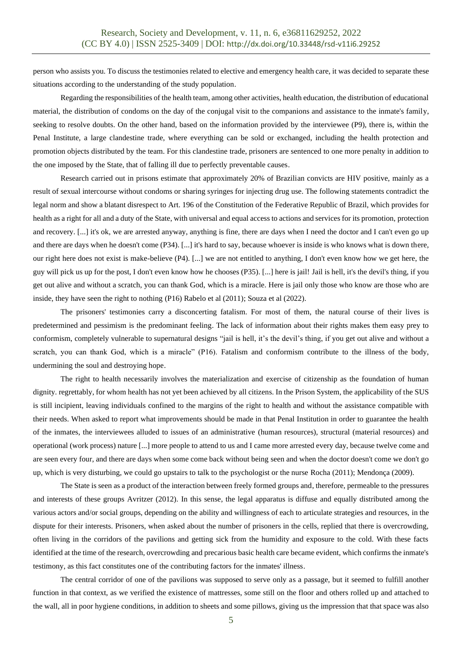person who assists you. To discuss the testimonies related to elective and emergency health care, it was decided to separate these situations according to the understanding of the study population.

Regarding the responsibilities of the health team, among other activities, health education, the distribution of educational material, the distribution of condoms on the day of the conjugal visit to the companions and assistance to the inmate's family, seeking to resolve doubts. On the other hand, based on the information provided by the interviewee (P9), there is, within the Penal Institute, a large clandestine trade, where everything can be sold or exchanged, including the health protection and promotion objects distributed by the team. For this clandestine trade, prisoners are sentenced to one more penalty in addition to the one imposed by the State, that of falling ill due to perfectly preventable causes.

Research carried out in prisons estimate that approximately 20% of Brazilian convicts are HIV positive, mainly as a result of sexual intercourse without condoms or sharing syringes for injecting drug use. The following statements contradict the legal norm and show a blatant disrespect to Art. 196 of the Constitution of the Federative Republic of Brazil, which provides for health as a right for all and a duty of the State, with universal and equal access to actions and services for its promotion, protection and recovery. [...] it's ok, we are arrested anyway, anything is fine, there are days when I need the doctor and I can't even go up and there are days when he doesn't come (P34). [...] it's hard to say, because whoever is inside is who knows what is down there, our right here does not exist is make-believe (P4). [...] we are not entitled to anything, I don't even know how we get here, the guy will pick us up for the post, I don't even know how he chooses (P35). [...] here is jail! Jail is hell, it's the devil's thing, if you get out alive and without a scratch, you can thank God, which is a miracle. Here is jail only those who know are those who are inside, they have seen the right to nothing (P16) Rabelo et al (2011); Souza et al (2022).

The prisoners' testimonies carry a disconcerting fatalism. For most of them, the natural course of their lives is predetermined and pessimism is the predominant feeling. The lack of information about their rights makes them easy prey to conformism, completely vulnerable to supernatural designs "jail is hell, it's the devil's thing, if you get out alive and without a scratch, you can thank God, which is a miracle" (P16). Fatalism and conformism contribute to the illness of the body, undermining the soul and destroying hope.

The right to health necessarily involves the materialization and exercise of citizenship as the foundation of human dignity. regrettably, for whom health has not yet been achieved by all citizens. In the Prison System, the applicability of the SUS is still incipient, leaving individuals confined to the margins of the right to health and without the assistance compatible with their needs. When asked to report what improvements should be made in that Penal Institution in order to guarantee the health of the inmates, the interviewees alluded to issues of an administrative (human resources), structural (material resources) and operational (work process) nature [...] more people to attend to us and I came more arrested every day, because twelve come and are seen every four, and there are days when some come back without being seen and when the doctor doesn't come we don't go up, which is very disturbing, we could go upstairs to talk to the psychologist or the nurse Rocha (2011); Mendonça (2009).

The State is seen as a product of the interaction between freely formed groups and, therefore, permeable to the pressures and interests of these groups Avritzer (2012). In this sense, the legal apparatus is diffuse and equally distributed among the various actors and/or social groups, depending on the ability and willingness of each to articulate strategies and resources, in the dispute for their interests. Prisoners, when asked about the number of prisoners in the cells, replied that there is overcrowding, often living in the corridors of the pavilions and getting sick from the humidity and exposure to the cold. With these facts identified at the time of the research, overcrowding and precarious basic health care became evident, which confirms the inmate's testimony, as this fact constitutes one of the contributing factors for the inmates' illness.

The central corridor of one of the pavilions was supposed to serve only as a passage, but it seemed to fulfill another function in that context, as we verified the existence of mattresses, some still on the floor and others rolled up and attached to the wall, all in poor hygiene conditions, in addition to sheets and some pillows, giving us the impression that that space was also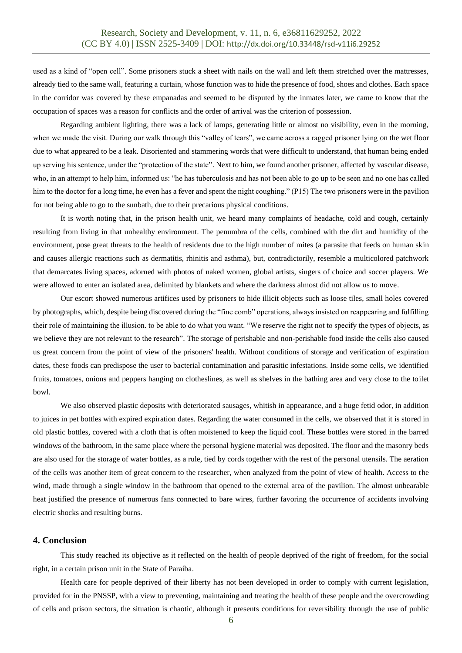used as a kind of "open cell". Some prisoners stuck a sheet with nails on the wall and left them stretched over the mattresses, already tied to the same wall, featuring a curtain, whose function was to hide the presence of food, shoes and clothes. Each space in the corridor was covered by these empanadas and seemed to be disputed by the inmates later, we came to know that the occupation of spaces was a reason for conflicts and the order of arrival was the criterion of possession.

Regarding ambient lighting, there was a lack of lamps, generating little or almost no visibility, even in the morning, when we made the visit. During our walk through this "valley of tears", we came across a ragged prisoner lying on the wet floor due to what appeared to be a leak. Disoriented and stammering words that were difficult to understand, that human being ended up serving his sentence, under the "protection of the state". Next to him, we found another prisoner, affected by vascular disease, who, in an attempt to help him, informed us: "he has tuberculosis and has not been able to go up to be seen and no one has called him to the doctor for a long time, he even has a fever and spent the night coughing." (P15) The two prisoners were in the pavilion for not being able to go to the sunbath, due to their precarious physical conditions.

It is worth noting that, in the prison health unit, we heard many complaints of headache, cold and cough, certainly resulting from living in that unhealthy environment. The penumbra of the cells, combined with the dirt and humidity of the environment, pose great threats to the health of residents due to the high number of mites (a parasite that feeds on human skin and causes allergic reactions such as dermatitis, rhinitis and asthma), but, contradictorily, resemble a multicolored patchwork that demarcates living spaces, adorned with photos of naked women, global artists, singers of choice and soccer players. We were allowed to enter an isolated area, delimited by blankets and where the darkness almost did not allow us to move.

Our escort showed numerous artifices used by prisoners to hide illicit objects such as loose tiles, small holes covered by photographs, which, despite being discovered during the "fine comb" operations, always insisted on reappearing and fulfilling their role of maintaining the illusion. to be able to do what you want. "We reserve the right not to specify the types of objects, as we believe they are not relevant to the research". The storage of perishable and non-perishable food inside the cells also caused us great concern from the point of view of the prisoners' health. Without conditions of storage and verification of expiration dates, these foods can predispose the user to bacterial contamination and parasitic infestations. Inside some cells, we identified fruits, tomatoes, onions and peppers hanging on clotheslines, as well as shelves in the bathing area and very close to the toilet bowl.

We also observed plastic deposits with deteriorated sausages, whitish in appearance, and a huge fetid odor, in addition to juices in pet bottles with expired expiration dates. Regarding the water consumed in the cells, we observed that it is stored in old plastic bottles, covered with a cloth that is often moistened to keep the liquid cool. These bottles were stored in the barred windows of the bathroom, in the same place where the personal hygiene material was deposited. The floor and the masonry beds are also used for the storage of water bottles, as a rule, tied by cords together with the rest of the personal utensils. The aeration of the cells was another item of great concern to the researcher, when analyzed from the point of view of health. Access to the wind, made through a single window in the bathroom that opened to the external area of the pavilion. The almost unbearable heat justified the presence of numerous fans connected to bare wires, further favoring the occurrence of accidents involving electric shocks and resulting burns.

# **4. Conclusion**

This study reached its objective as it reflected on the health of people deprived of the right of freedom, for the social right, in a certain prison unit in the State of Paraíba.

Health care for people deprived of their liberty has not been developed in order to comply with current legislation, provided for in the PNSSP, with a view to preventing, maintaining and treating the health of these people and the overcrowding of cells and prison sectors, the situation is chaotic, although it presents conditions for reversibility through the use of public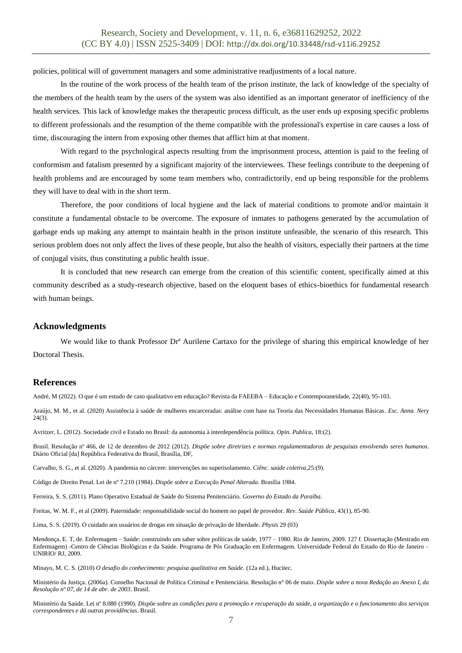policies, political will of government managers and some administrative readjustments of a local nature.

In the routine of the work process of the health team of the prison institute, the lack of knowledge of the specialty of the members of the health team by the users of the system was also identified as an important generator of inefficiency of the health services. This lack of knowledge makes the therapeutic process difficult, as the user ends up exposing specific problems to different professionals and the resumption of the theme compatible with the professional's expertise in care causes a loss of time, discouraging the intern from exposing other themes that afflict him at that moment.

With regard to the psychological aspects resulting from the imprisonment process, attention is paid to the feeling of conformism and fatalism presented by a significant majority of the interviewees. These feelings contribute to the deepening of health problems and are encouraged by some team members who, contradictorily, end up being responsible for the problems they will have to deal with in the short term.

Therefore, the poor conditions of local hygiene and the lack of material conditions to promote and/or maintain it constitute a fundamental obstacle to be overcome. The exposure of inmates to pathogens generated by the accumulation of garbage ends up making any attempt to maintain health in the prison institute unfeasible, the scenario of this research. This serious problem does not only affect the lives of these people, but also the health of visitors, especially their partners at the time of conjugal visits, thus constituting a public health issue.

It is concluded that new research can emerge from the creation of this scientific content, specifically aimed at this community described as a study-research objective, based on the eloquent bases of ethics-bioethics for fundamental research with human beings.

## **Acknowledgments**

We would like to thank Professor Dr<sup>ª</sup> Aurilene Cartaxo for the privilege of sharing this empirical knowledge of her Doctoral Thesis.

## **References**

André, M (2022). O que é um estudo de caso qualitativo em educação? Revista da FAEEBA – Educação e Contemporaneidade, 22(40), 95-103.

Araújo, M. M., et al. (2020) Assistência à saúde de mulheres encarceradas: análise com base na Teoria das Necessidades Humanas Básicas. *Esc. Anna. Nery* 24(3).

Avritzer, L. (2012). Sociedade civil e Estado no Brasil: da autonomia à interdependência política. *Opin. Publica*, 18:(2).

Brasil. Resolução nº 466, de 12 de dezembro de 2012 (2012). *Dispõe sobre diretrizes e normas regulamentadoras de pesquisas envolvendo seres humanos*. Diário Oficial [da] República Federativa do Brasil, Brasília, DF,

Carvalho, S. G., et al. (2020). A pandemia no cárcere: intervenções no superisolamento. *Ciênc. saúde coletiva*,25:(9).

Código de Direito Penal. Lei de nº 7.210 (1984). *Dispõe sobre a Execução Penal Alterada*. Brasília 1984.

Ferreira, S. S. (2011). Plano Operativo Estadual de Saúde do Sistema Penitenciário*. Governo do Estado da Paraíba*.

Freitas, W. M. F., et al (2009). Paternidade: responsabilidade social do homem no papel de provedor. *Rev. Saúde Pública*, 43(1), 85-90.

Lima, S. S. (2019). O cuidado aos usuários de drogas em situação de privação de liberdade. *Physis* 29 (03)

Mendonça, E. T, de. Enfermagem – Saúde: construindo um saber sobre políticas de saúde, 1977 – 1980. Rio de Janeiro, 2009. 127 f. Dissertação (Mestrado em Enfermagem) -Centro de Ciências Biológicas e da Saúde. Programa de Pós Graduação em Enfermagem. Universidade Federal do Estado do Rio de Janeiro – UNIRIO/ RJ, 2009.

Minayo, M. C. S. (2010) *O desafio do conhecimento: pesquisa qualitativa em Saúde*. (12a ed.), Hucitec.

Ministério da Justiça. (2006a). Conselho Nacional de Política Criminal e Penitenciária. Resolução n° 06 de maio. *Dispõe sobre a nova Redação ao Anexo I, da Resolução nº 07, de 14 de abr. de 2003*. Brasil.

Ministério da Saúde. Lei nº 8.080 (1990). *Dispõe sobre as condições para a promoção e recuperação da saúde, a organização e o funcionamento dos serviços correspondentes e dá outras providências*. Brasil.